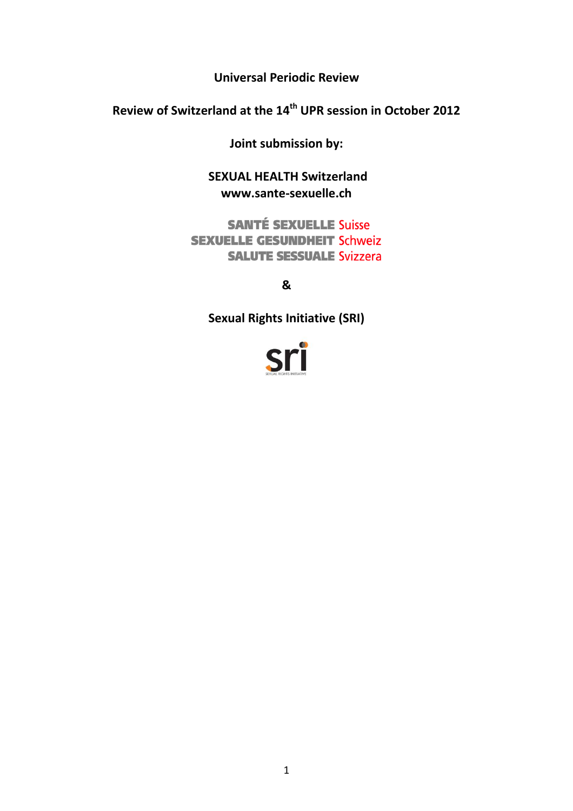**Universal Periodic Review**

**Review of Switzerland at the 14th UPR session in October 2012**

**Joint submission by:**

**SEXUAL HEALTH Switzerland www.sante-sexuelle.ch** 

**SANTÉ SEXUELLE Suisse SEXUELLE GESUNDHEIT Schweiz SALUTE SESSUALE Svizzera** 

**&** 

**Sexual Rights Initiative (SRI)**

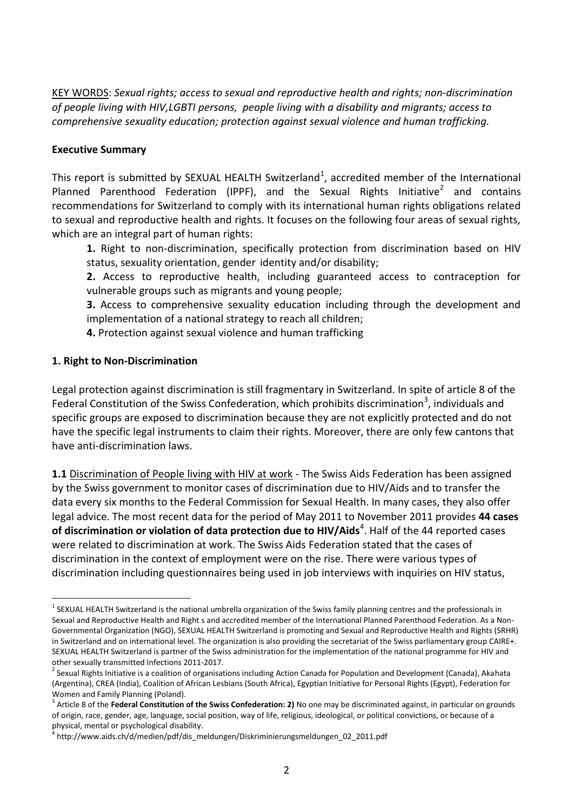KEY WORDS: *Sexual rights; access to sexual and reproductive health and rights; non-discrimination of people living with HIV,LGBTI persons, people living with a disability and migrants; access to comprehensive sexuality education; protection against sexual violence and human trafficking.*

### **Executive Summary**

This report is submitted by SEXUAL HEALTH Switzerland<sup>1</sup>, accredited member of the International Planned Parenthood Federation (IPPF), and the Sexual Rights Initiative<sup>2</sup> and contains recommendations for Switzerland to comply with its international human rights obligations related to sexual and reproductive health and rights. It focuses on the following four areas of sexual rights, which are an integral part of human rights:

**1.** Right to non-discrimination, specifically protection from discrimination based on HIV status, sexuality orientation, gender identity and/or disability;

**2.** Access to reproductive health, including guaranteed access to contraception for vulnerable groups such as migrants and young people;

**3.** Access to comprehensive sexuality education including through the development and implementation of a national strategy to reach all children;

**4.** Protection against sexual violence and human trafficking

### **1. Right to Non-Discrimination**

 $\overline{a}$ 

Legal protection against discrimination is still fragmentary in Switzerland. In spite of article 8 of the Federal Constitution of the Swiss Confederation, which prohibits discrimination<sup>3</sup>, individuals and specific groups are exposed to discrimination because they are not explicitly protected and do not have the specific legal instruments to claim their rights. Moreover, there are only few cantons that have anti-discrimination laws.

1.1 Discrimination of People living with HIV at work - The Swiss Aids Federation has been assigned by the Swiss government to monitor cases of discrimination due to HIV/Aids and to transfer the data every six months to the Federal Commission for Sexual Health. In many cases, they also offer legal advice. The most recent data for the period of May 2011 to November 2011 provides **44 cases of discrimination or violation of data protection due to HIV/Aids<sup>4</sup>. Half of the 44 reported cases** were related to discrimination at work. The Swiss Aids Federation stated that the cases of discrimination in the context of employment were on the rise. There were various types of discrimination including questionnaires being used in job interviews with inquiries on HIV status,

 $^1$  SEXUAL HEALTH Switzerland is the national umbrella organization of the Swiss family planning centres and the professionals in Sexual and Reproductive Health and Right s and accredited member of the International Planned Parenthood Federation. As a Non-Governmental Organization (NGO), SEXUAL HEALTH Switzerland is promoting and Sexual and Reproductive Health and Rights (SRHR) in Switzerland and on international level. The organization is also providing the secretariat of the Swiss parliamentary group CAIRE+. SEXUAL HEALTH Switzerland is partner of the Swiss administration for the implementation of the national programme for HIV and other sexually transmitted Infections 2011-2017.

<sup>&</sup>lt;sup>2</sup> Sexual Rights Initiative is a coalition of organisations including Action Canada for Population and Development (Canada), Akahata (Argentina), CREA (India), Coalition of African Lesbians (South Africa), Egyptian Initiative for Personal Rights (Egypt), Federation for Women and Family Planning (Poland).

<sup>&</sup>lt;sup>3</sup> Article 8 of the **Federal Constitution of the Swiss Confederation: 2)** No one may be discriminated against, in particular on grounds of origin, race, gender, age, language, social position, way of life, religious, ideological, or political convictions, or because of a

physical, mental or psychological disability.<br><sup>4</sup> http://www.aids.ch/d/medien/pdf/dis\_meldungen/Diskriminierungsmeldungen\_02\_2011.pdf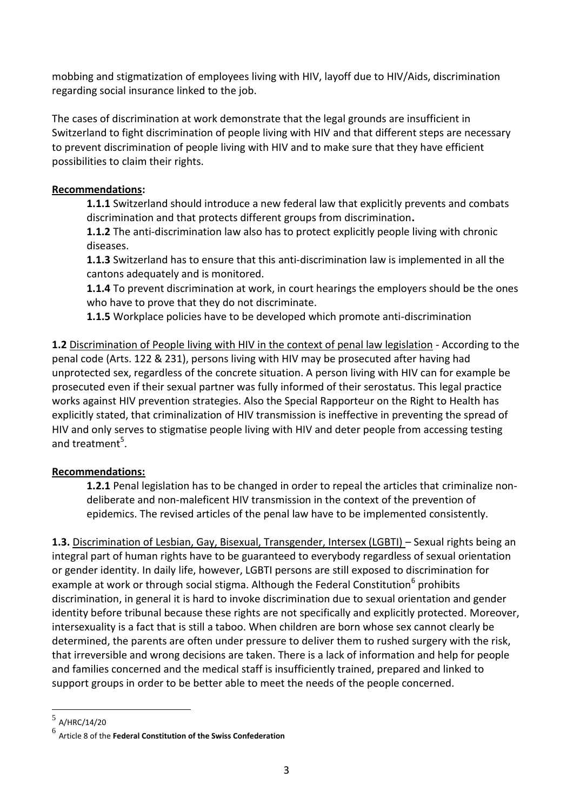mobbing and stigmatization of employees living with HIV, layoff due to HIV/Aids, discrimination regarding social insurance linked to the job.

The cases of discrimination at work demonstrate that the legal grounds are insufficient in Switzerland to fight discrimination of people living with HIV and that different steps are necessary to prevent discrimination of people living with HIV and to make sure that they have efficient possibilities to claim their rights.

## **Recommendations:**

**1.1.1** Switzerland should introduce a new federal law that explicitly prevents and combats discrimination and that protects different groups from discrimination**.**

**1.1.2** The anti-discrimination law also has to protect explicitly people living with chronic diseases.

**1.1.3** Switzerland has to ensure that this anti-discrimination law is implemented in all the cantons adequately and is monitored.

**1.1.4** To prevent discrimination at work, in court hearings the employers should be the ones who have to prove that they do not discriminate.

**1.1.5** Workplace policies have to be developed which promote anti-discrimination

**1.2** Discrimination of People living with HIV in the context of penal law legislation - According to the penal code (Arts. 122 & 231), persons living with HIV may be prosecuted after having had unprotected sex, regardless of the concrete situation. A person living with HIV can for example be prosecuted even if their sexual partner was fully informed of their serostatus. This legal practice works against HIV prevention strategies. Also the Special Rapporteur on the Right to Health has explicitly stated, that criminalization of HIV transmission is ineffective in preventing the spread of HIV and only serves to stigmatise people living with HIV and deter people from accessing testing and treatment<sup>5</sup>.

# **Recommendations:**

**1.2.1** Penal legislation has to be changed in order to repeal the articles that criminalize nondeliberate and non-maleficent HIV transmission in the context of the prevention of epidemics. The revised articles of the penal law have to be implemented consistently.

**1.3.** Discrimination of Lesbian, Gay, Bisexual, Transgender, Intersex (LGBTI) – Sexual rights being an integral part of human rights have to be guaranteed to everybody regardless of sexual orientation or gender identity. In daily life, however, LGBTI persons are still exposed to discrimination for example at work or through social stigma. Although the Federal Constitution<sup>6</sup> prohibits discrimination, in general it is hard to invoke discrimination due to sexual orientation and gender identity before tribunal because these rights are not specifically and explicitly protected. Moreover, intersexuality is a fact that is still a taboo. When children are born whose sex cannot clearly be determined, the parents are often under pressure to deliver them to rushed surgery with the risk, that irreversible and wrong decisions are taken. There is a lack of information and help for people and families concerned and the medical staff is insufficiently trained, prepared and linked to support groups in order to be better able to meet the needs of the people concerned.

 $\overline{a}$ 

<sup>5</sup> A/HRC/14/20

<sup>6</sup> Article 8 of the **Federal Constitution of the Swiss Confederation**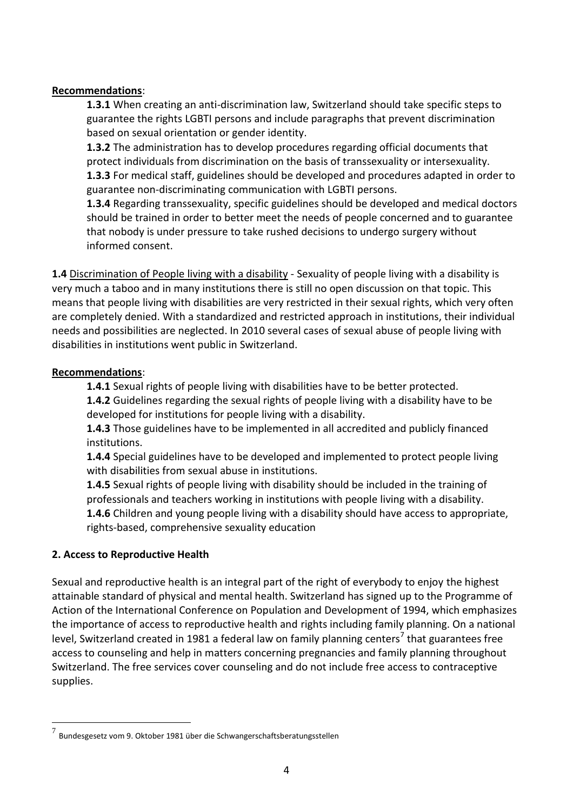## **Recommendations**:

**1.3.1** When creating an anti-discrimination law, Switzerland should take specific steps to guarantee the rights LGBTI persons and include paragraphs that prevent discrimination based on sexual orientation or gender identity.

**1.3.2** The administration has to develop procedures regarding official documents that protect individuals from discrimination on the basis of transsexuality or intersexuality. **1.3.3** For medical staff, guidelines should be developed and procedures adapted in order to guarantee non-discriminating communication with LGBTI persons.

**1.3.4** Regarding transsexuality, specific guidelines should be developed and medical doctors should be trained in order to better meet the needs of people concerned and to guarantee that nobody is under pressure to take rushed decisions to undergo surgery without informed consent.

1.4 Discrimination of People living with a disability - Sexuality of people living with a disability is very much a taboo and in many institutions there is still no open discussion on that topic. This means that people living with disabilities are very restricted in their sexual rights, which very often are completely denied. With a standardized and restricted approach in institutions, their individual needs and possibilities are neglected. In 2010 several cases of sexual abuse of people living with disabilities in institutions went public in Switzerland.

## **Recommendations**:

**1.4.1** Sexual rights of people living with disabilities have to be better protected.

**1.4.2** Guidelines regarding the sexual rights of people living with a disability have to be developed for institutions for people living with a disability.

**1.4.3** Those guidelines have to be implemented in all accredited and publicly financed institutions.

**1.4.4** Special guidelines have to be developed and implemented to protect people living with disabilities from sexual abuse in institutions.

**1.4.5** Sexual rights of people living with disability should be included in the training of professionals and teachers working in institutions with people living with a disability. **1.4.6** Children and young people living with a disability should have access to appropriate, rights-based, comprehensive sexuality education

# **2. Access to Reproductive Health**

 $\overline{a}$ 

Sexual and reproductive health is an integral part of the right of everybody to enjoy the highest attainable standard of physical and mental health. Switzerland has signed up to the Programme of Action of the International Conference on Population and Development of 1994, which emphasizes the importance of access to reproductive health and rights including family planning. On a national level, Switzerland created in 1981 a federal law on family planning centers<sup>7</sup> that guarantees free access to counseling and help in matters concerning pregnancies and family planning throughout Switzerland. The free services cover counseling and do not include free access to contraceptive supplies.

<sup>7</sup> Bundesgesetz vom 9. Oktober 1981 über die Schwangerschaftsberatungsstellen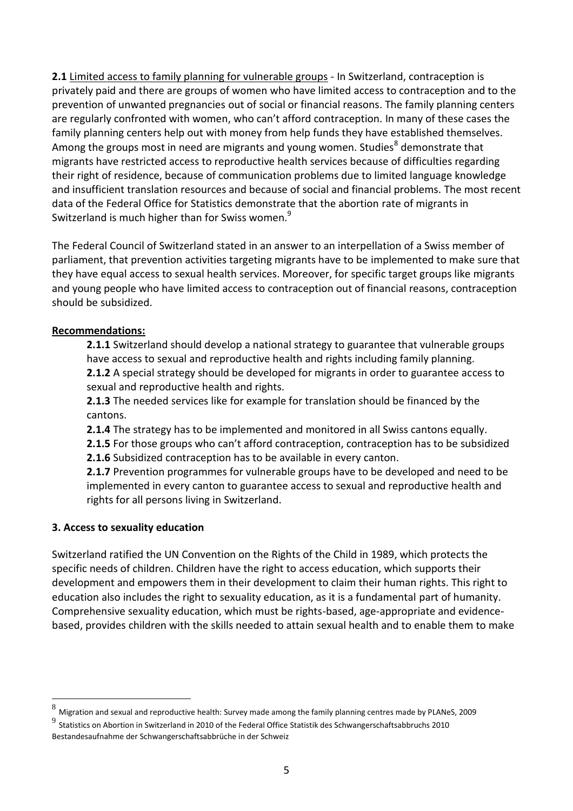**2.1** Limited access to family planning for vulnerable groups - In Switzerland, contraception is privately paid and there are groups of women who have limited access to contraception and to the prevention of unwanted pregnancies out of social or financial reasons. The family planning centers are regularly confronted with women, who can't afford contraception. In many of these cases the family planning centers help out with money from help funds they have established themselves. Among the groups most in need are migrants and young women. Studies<sup>8</sup> demonstrate that migrants have restricted access to reproductive health services because of difficulties regarding their right of residence, because of communication problems due to limited language knowledge and insufficient translation resources and because of social and financial problems. The most recent data of the Federal Office for Statistics demonstrate that the abortion rate of migrants in Switzerland is much higher than for Swiss women.<sup>9</sup>

The Federal Council of Switzerland stated in an answer to an interpellation of a Swiss member of parliament, that prevention activities targeting migrants have to be implemented to make sure that they have equal access to sexual health services. Moreover, for specific target groups like migrants and young people who have limited access to contraception out of financial reasons, contraception should be subsidized.

### **Recommendations:**

**2.1.1** Switzerland should develop a national strategy to guarantee that vulnerable groups have access to sexual and reproductive health and rights including family planning. **2.1.2** A special strategy should be developed for migrants in order to guarantee access to sexual and reproductive health and rights.

**2.1.3** The needed services like for example for translation should be financed by the cantons.

**2.1.4** The strategy has to be implemented and monitored in all Swiss cantons equally.

**2.1.5** For those groups who can't afford contraception, contraception has to be subsidized **2.1.6** Subsidized contraception has to be available in every canton.

**2.1.7** Prevention programmes for vulnerable groups have to be developed and need to be implemented in every canton to guarantee access to sexual and reproductive health and rights for all persons living in Switzerland.

### **3. Access to sexuality education**

 $\overline{a}$ 

Switzerland ratified the UN Convention on the Rights of the Child in 1989, which protects the specific needs of children. Children have the right to access education, which supports their development and empowers them in their development to claim their human rights. This right to education also includes the right to sexuality education, as it is a fundamental part of humanity. Comprehensive sexuality education, which must be rights-based, age-appropriate and evidencebased, provides children with the skills needed to attain sexual health and to enable them to make

 $^8$  Migration and sexual and reproductive health: Survey made among the family planning centres made by PLANeS, 2009

 $^9$  Statistics on Abortion in Switzerland in 2010 of the Federal Office Statistik des Schwangerschaftsabbruchs 2010 Bestandesaufnahme der Schwangerschaftsabbrüche in der Schweiz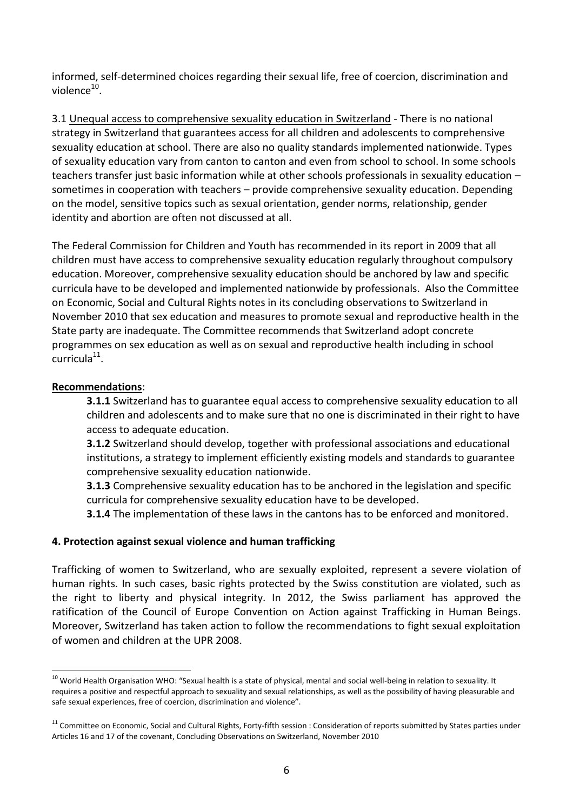informed, self-determined choices regarding their sexual life, free of coercion, discrimination and violence $^{\rm 10}$ .

3.1 Unequal access to comprehensive sexuality education in Switzerland - There is no national strategy in Switzerland that guarantees access for all children and adolescents to comprehensive sexuality education at school. There are also no quality standards implemented nationwide. Types of sexuality education vary from canton to canton and even from school to school. In some schools teachers transfer just basic information while at other schools professionals in sexuality education – sometimes in cooperation with teachers – provide comprehensive sexuality education. Depending on the model, sensitive topics such as sexual orientation, gender norms, relationship, gender identity and abortion are often not discussed at all.

The Federal Commission for Children and Youth has recommended in its report in 2009 that all children must have access to comprehensive sexuality education regularly throughout compulsory education. Moreover, comprehensive sexuality education should be anchored by law and specific curricula have to be developed and implemented nationwide by professionals. Also the Committee on Economic, Social and Cultural Rights notes in its concluding observations to Switzerland in November 2010 that sex education and measures to promote sexual and reproductive health in the State party are inadequate. The Committee recommends that Switzerland adopt concrete programmes on sex education as well as on sexual and reproductive health including in school  $curr$ icula $^{11}$ .

### **Recommendations**:

**3.1.1** Switzerland has to guarantee equal access to comprehensive sexuality education to all children and adolescents and to make sure that no one is discriminated in their right to have access to adequate education.

**3.1.2** Switzerland should develop, together with professional associations and educational institutions, a strategy to implement efficiently existing models and standards to guarantee comprehensive sexuality education nationwide.

**3.1.3** Comprehensive sexuality education has to be anchored in the legislation and specific curricula for comprehensive sexuality education have to be developed.

**3.1.4** The implementation of these laws in the cantons has to be enforced and monitored.

### **4. Protection against sexual violence and human trafficking**

Trafficking of women to Switzerland, who are sexually exploited, represent a severe violation of human rights. In such cases, basic rights protected by the Swiss constitution are violated, such as the right to liberty and physical integrity. In 2012, the Swiss parliament has approved the ratification of the Council of Europe Convention on Action against Trafficking in Human Beings. Moreover, Switzerland has taken action to follow the recommendations to fight sexual exploitation of women and children at the UPR 2008.

 $\overline{a}$  $^{10}$  World Health Organisation WHO: "Sexual health is a state of physical, mental and social well-being in relation to sexuality. It requires a positive and respectful approach to sexuality and sexual relationships, as well as the possibility of having pleasurable and safe sexual experiences, free of coercion, discrimination and violence".

<sup>&</sup>lt;sup>11</sup> Committee on Economic, Social and Cultural Rights, Forty-fifth session : Consideration of reports submitted by States parties under Articles 16 and 17 of the covenant, Concluding Observations on Switzerland, November 2010